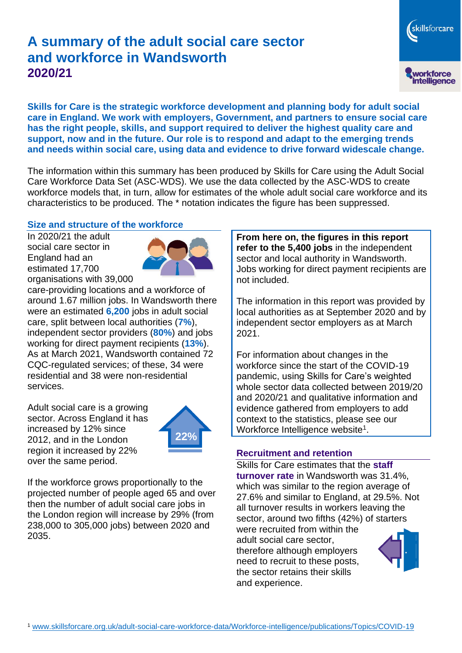# **A summary of the adult social care sector and workforce in Wandsworth 2020/21**

**Skills for Care is the strategic workforce development and planning body for adult social care in England. We work with employers, Government, and partners to ensure social care has the right people, skills, and support required to deliver the highest quality care and support, now and in the future. Our role is to respond and adapt to the emerging trends and needs within social care, using data and evidence to drive forward widescale change.**

The information within this summary has been produced by Skills for Care using the Adult Social Care Workforce Data Set (ASC-WDS). We use the data collected by the ASC-WDS to create workforce models that, in turn, allow for estimates of the whole adult social care workforce and its characteristics to be produced. The \* notation indicates the figure has been suppressed.

## **Size and structure of the workforce**

In 2020/21 the adult social care sector in England had an estimated 17,700 organisations with 39,000



care-providing locations and a workforce of around 1.67 million jobs. In Wandsworth there were an estimated **6,200** jobs in adult social care, split between local authorities (**7%**), independent sector providers (**80%**) and jobs working for direct payment recipients (**13%**). As at March 2021, Wandsworth contained 72 CQC-regulated services; of these, 34 were residential and 38 were non-residential services.

Adult social care is a growing sector. Across England it has increased by 12% since 2012, and in the London region it increased by 22% over the same period.



If the workforce grows proportionally to the projected number of people aged 65 and over then the number of adult social care jobs in the London region will increase by 29% (from 238,000 to 305,000 jobs) between 2020 and 2035.

**From here on, the figures in this report refer to the 5,400 jobs** in the independent sector and local authority in Wandsworth. Jobs working for direct payment recipients are not included.

skillsforcare

workforce<br>intelligence

The information in this report was provided by local authorities as at September 2020 and by independent sector employers as at March 2021.

For information about changes in the workforce since the start of the COVID-19 pandemic, using Skills for Care's weighted whole sector data collected between 2019/20 and 2020/21 and qualitative information and evidence gathered from employers to add context to the statistics, please see our Workforce Intelligence website<sup>1</sup>.

#### **Recruitment and retention**

and experience.

Skills for Care estimates that the **staff turnover rate** in Wandsworth was 31.4%, which was similar to the region average of 27.6% and similar to England, at 29.5%. Not all turnover results in workers leaving the sector, around two fifths (42%) of starters were recruited from within the adult social care sector, therefore although employers need to recruit to these posts, the sector retains their skills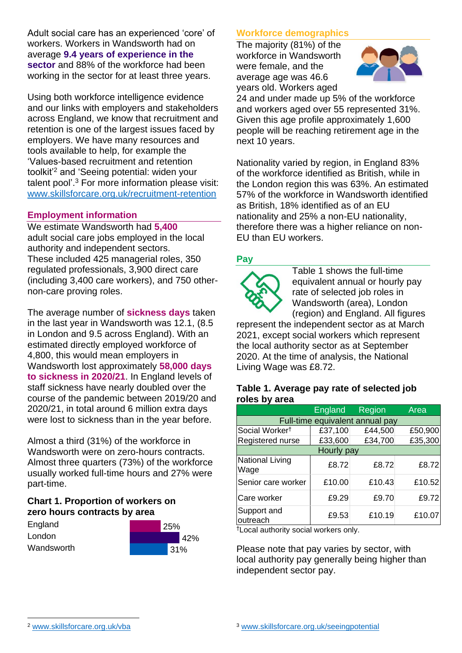Adult social care has an experienced 'core' of workers. Workers in Wandsworth had on average **9.4 years of experience in the sector** and 88% of the workforce had been working in the sector for at least three years.

Using both workforce intelligence evidence and our links with employers and stakeholders across England, we know that recruitment and retention is one of the largest issues faced by employers. We have many resources and tools available to help, for example the 'Values-based recruitment and retention toolkit'<sup>2</sup> and 'Seeing potential: widen your talent pool'. <sup>3</sup> For more information please visit: [www.skillsforcare.org.uk/recruitment-retention](http://www.skillsforcare.org.uk/recruitment-retention)

## **Employment information**

We estimate Wandsworth had **5,400** adult social care jobs employed in the local authority and independent sectors. These included 425 managerial roles, 350 regulated professionals, 3,900 direct care (including 3,400 care workers), and 750 othernon-care proving roles.

The average number of **sickness days** taken in the last year in Wandsworth was 12.1, (8.5 in London and 9.5 across England). With an estimated directly employed workforce of 4,800, this would mean employers in Wandsworth lost approximately **58,000 days to sickness in 2020/21**. In England levels of staff sickness have nearly doubled over the course of the pandemic between 2019/20 and 2020/21, in total around 6 million extra days were lost to sickness than in the year before.

Almost a third (31%) of the workforce in Wandsworth were on zero-hours contracts. Almost three quarters (73%) of the workforce usually worked full-time hours and 27% were part-time.

# **Chart 1. Proportion of workers on zero hours contracts by area**

| England    | 25% |     |
|------------|-----|-----|
| London     |     | 42% |
| Wandsworth |     | 31% |

## **Workforce demographics**

The majority (81%) of the workforce in Wandsworth were female, and the average age was 46.6 years old. Workers aged



24 and under made up 5% of the workforce and workers aged over 55 represented 31%. Given this age profile approximately 1,600 people will be reaching retirement age in the next 10 years.

Nationality varied by region, in England 83% of the workforce identified as British, while in the London region this was 63%. An estimated 57% of the workforce in Wandsworth identified as British, 18% identified as of an EU nationality and 25% a non-EU nationality, therefore there was a higher reliance on non-EU than EU workers.

## **Pay**



Table 1 shows the full-time equivalent annual or hourly pay rate of selected job roles in Wandsworth (area), London (region) and England. All figures

represent the independent sector as at March 2021, except social workers which represent the local authority sector as at September 2020. At the time of analysis, the National Living Wage was £8.72.

#### **Table 1. Average pay rate of selected job roles by area**

|                                 | <b>England</b> | Region  | Area    |  |
|---------------------------------|----------------|---------|---------|--|
| Full-time equivalent annual pay |                |         |         |  |
| Social Worker <sup>†</sup>      | £37,100        | £44,500 | £50,900 |  |
| Registered nurse                | £33,600        | £34,700 | £35,300 |  |
| Hourly pay                      |                |         |         |  |
| National Living<br>Wage         | £8.72          | £8.72   | £8.72   |  |
| Senior care worker              | £10.00         | £10.43  | £10.52  |  |
| Care worker                     | £9.29          | £9.70   | £9.72   |  |
| Support and<br>outreach         | £9.53          | £10.19  | £10.07  |  |

†Local authority social workers only.

Please note that pay varies by sector, with local authority pay generally being higher than independent sector pay.

[www.skillsforcare.org.uk/vba](http://www.skillsforcare.org.uk/vba)